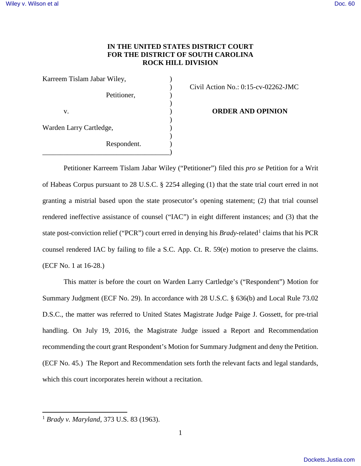## **IN THE UNITED STATES DISTRICT COURT FOR THE DISTRICT OF SOUTH CAROLINA ROCK HILL DIVISION**

| Karreem Tislam Jabar Wiley, |             |  |
|-----------------------------|-------------|--|
|                             |             |  |
|                             | Petitioner, |  |
| V.                          |             |  |
|                             |             |  |
| Warden Larry Cartledge,     |             |  |
|                             | Respondent. |  |
|                             |             |  |

) Civil Action No.: 0:15-cv-02262-JMC

**ORDER AND OPINION** 

Petitioner Karreem Tislam Jabar Wiley ("Petitioner") filed this *pro se* Petition for a Writ of Habeas Corpus pursuant to 28 U.S.C. § 2254 alleging (1) that the state trial court erred in not granting a mistrial based upon the state prosecutor's opening statement; (2) that trial counsel rendered ineffective assistance of counsel ("IAC") in eight different instances; and (3) that the state post-conviction relief ("PCR") court erred in denying his *Brady*-related<sup>[1](#page-0-0)</sup> claims that his PCR counsel rendered IAC by failing to file a S.C. App. Ct. R. 59(e) motion to preserve the claims. (ECF No. 1 at 16-28.)

This matter is before the court on Warden Larry Cartledge's ("Respondent") Motion for Summary Judgment (ECF No. 29). In accordance with 28 U.S.C. § 636(b) and Local Rule 73.02 D.S.C., the matter was referred to United States Magistrate Judge Paige J. Gossett, for pre-trial handling. On July 19, 2016, the Magistrate Judge issued a Report and Recommendation recommending the court grant Respondent's Motion for Summary Judgment and deny the Petition. (ECF No. 45.) The Report and Recommendation sets forth the relevant facts and legal standards, which this court incorporates herein without a recitation.

l

<span id="page-0-0"></span><sup>1</sup> *Brady v. Maryland*, 373 U.S. 83 (1963).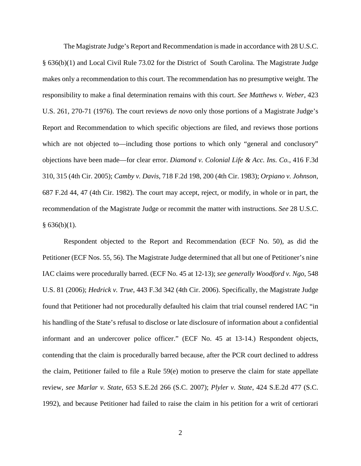The Magistrate Judge's Report and Recommendation is made in accordance with 28 U.S.C. § 636(b)(1) and Local Civil Rule 73.02 for the District of South Carolina. The Magistrate Judge makes only a recommendation to this court. The recommendation has no presumptive weight. The responsibility to make a final determination remains with this court. *See Matthews v. Weber*, 423 U.S. 261, 270-71 (1976). The court reviews *de novo* only those portions of a Magistrate Judge's Report and Recommendation to which specific objections are filed, and reviews those portions which are not objected to—including those portions to which only "general and conclusory" objections have been made—for clear error. *Diamond v. Colonial Life & Acc. Ins. Co.*, 416 F.3d 310, 315 (4th Cir. 2005); *Camby v. Davis*, 718 F.2d 198, 200 (4th Cir. 1983); *Orpiano v. Johnson*, 687 F.2d 44, 47 (4th Cir. 1982). The court may accept, reject, or modify, in whole or in part, the recommendation of the Magistrate Judge or recommit the matter with instructions. *See* 28 U.S.C.  $§ 636(b)(1).$ 

Respondent objected to the Report and Recommendation (ECF No. 50), as did the Petitioner (ECF Nos. 55, 56). The Magistrate Judge determined that all but one of Petitioner's nine IAC claims were procedurally barred. (ECF No. 45 at 12-13); *see generally Woodford v. Ngo*, 548 U.S. 81 (2006); *Hedrick v. True*, 443 F.3d 342 (4th Cir. 2006). Specifically, the Magistrate Judge found that Petitioner had not procedurally defaulted his claim that trial counsel rendered IAC "in his handling of the State's refusal to disclose or late disclosure of information about a confidential informant and an undercover police officer." (ECF No. 45 at 13-14.) Respondent objects, contending that the claim is procedurally barred because, after the PCR court declined to address the claim, Petitioner failed to file a Rule 59(e) motion to preserve the claim for state appellate review, *see Marlar v. State*, 653 S.E.2d 266 (S.C. 2007); *Plyler v. State*, 424 S.E.2d 477 (S.C. 1992), and because Petitioner had failed to raise the claim in his petition for a writ of certiorari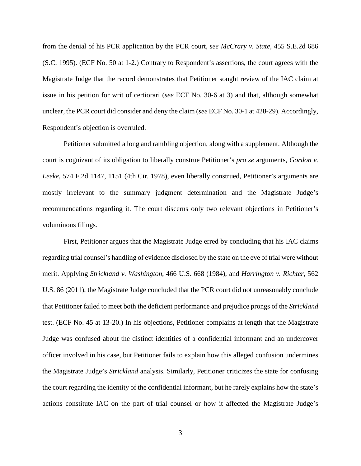from the denial of his PCR application by the PCR court, *see McCrary v. State*, 455 S.E.2d 686 (S.C. 1995). (ECF No. 50 at 1-2.) Contrary to Respondent's assertions, the court agrees with the Magistrate Judge that the record demonstrates that Petitioner sought review of the IAC claim at issue in his petition for writ of certiorari (*see* ECF No. 30-6 at 3) and that, although somewhat unclear, the PCR court did consider and deny the claim (*see* ECF No. 30-1 at 428-29). Accordingly, Respondent's objection is overruled.

Petitioner submitted a long and rambling objection, along with a supplement. Although the court is cognizant of its obligation to liberally construe Petitioner's *pro se* arguments, *Gordon v. Leeke*, 574 F.2d 1147, 1151 (4th Cir. 1978), even liberally construed, Petitioner's arguments are mostly irrelevant to the summary judgment determination and the Magistrate Judge's recommendations regarding it. The court discerns only two relevant objections in Petitioner's voluminous filings.

First, Petitioner argues that the Magistrate Judge erred by concluding that his IAC claims regarding trial counsel's handling of evidence disclosed by the state on the eve of trial were without merit. Applying *Strickland v. Washington*, 466 U.S. 668 (1984), and *Harrington v. Richter*, 562 U.S. 86 (2011), the Magistrate Judge concluded that the PCR court did not unreasonably conclude that Petitioner failed to meet both the deficient performance and prejudice prongs of the *Strickland*  test. (ECF No. 45 at 13-20.) In his objections, Petitioner complains at length that the Magistrate Judge was confused about the distinct identities of a confidential informant and an undercover officer involved in his case, but Petitioner fails to explain how this alleged confusion undermines the Magistrate Judge's *Strickland* analysis. Similarly, Petitioner criticizes the state for confusing the court regarding the identity of the confidential informant, but he rarely explains how the state's actions constitute IAC on the part of trial counsel or how it affected the Magistrate Judge's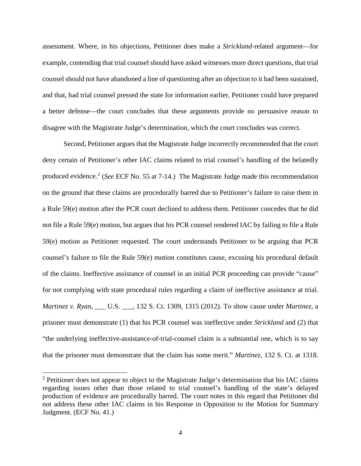assessment. Where, in his objections, Petitioner does make a *Strickland*-related argument—for example, contending that trial counsel should have asked witnesses more direct questions, that trial counsel should not have abandoned a line of questioning after an objection to it had been sustained, and that, had trial counsel pressed the state for information earlier, Petitioner could have prepared a better defense—the court concludes that these arguments provide no persuasive reason to disagree with the Magistrate Judge's determination, which the court concludes was correct.

Second, Petitioner argues that the Magistrate Judge incorrectly recommended that the court deny certain of Petitioner's other IAC claims related to trial counsel's handling of the belatedly produced evidence.<sup>[2](#page-3-0)</sup> (*See* ECF No. 55 at 7-14.) The Magistrate Judge made this recommendation on the ground that these claims are procedurally barred due to Petitioner's failure to raise them in a Rule 59(e) motion after the PCR court declined to address them. Petitioner concedes that he did not file a Rule 59(e) motion, but argues that his PCR counsel rendered IAC by failing to file a Rule 59(e) motion as Petitioner requested. The court understands Petitioner to be arguing that PCR counsel's failure to file the Rule 59(e) motion constitutes cause, excusing his procedural default of the claims. Ineffective assistance of counsel in an initial PCR proceeding can provide "cause" for not complying with state procedural rules regarding a claim of ineffective assistance at trial. *Martinez v. Ryan*, \_\_\_ U.S. \_\_\_, 132 S. Ct. 1309, 1315 (2012). To show cause under *Martinez,* a prisoner must demonstrate (1) that his PCR counsel was ineffective under *Strickland* and (2) that "the underlying ineffective-assistance-of-trial-counsel claim is a substantial one, which is to say that the prisoner must demonstrate that the claim has some merit." *Martinez*, 132 S. Ct. at 1318.

 $\overline{a}$ 

<span id="page-3-0"></span><sup>&</sup>lt;sup>2</sup> Petitioner does not appear to object to the Magistrate Judge's determination that his IAC claims regarding issues other than those related to trial counsel's handling of the state's delayed production of evidence are procedurally barred. The court notes in this regard that Petitioner did not address these other IAC claims in his Response in Opposition to the Motion for Summary Judgment. (ECF No. 41.)